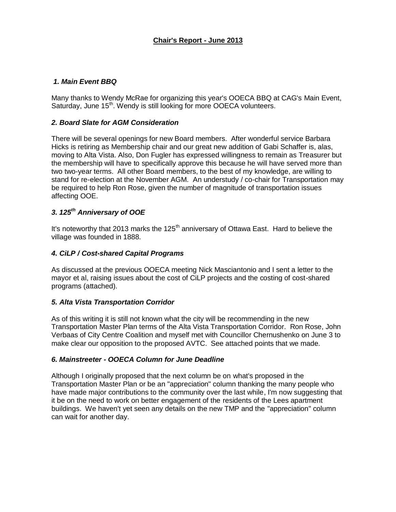## *1. Main Event BBQ*

Many thanks to Wendy McRae for organizing this year's OOECA BBQ at CAG's Main Event, Saturday, June 15<sup>th</sup>. Wendy is still looking for more OOECA volunteers.

## *2. Board Slate for AGM Consideration*

There will be several openings for new Board members. After wonderful service Barbara Hicks is retiring as Membership chair and our great new addition of Gabi Schaffer is, alas, moving to Alta Vista. Also, Don Fugler has expressed willingness to remain as Treasurer but the membership will have to specifically approve this because he will have served more than two two-year terms. All other Board members, to the best of my knowledge, are willing to stand for re-election at the November AGM. An understudy / co-chair for Transportation may be required to help Ron Rose, given the number of magnitude of transportation issues affecting OOE.

# *3. 125th Anniversary of OOE*

It's noteworthy that 2013 marks the  $125<sup>th</sup>$  anniversary of Ottawa East. Hard to believe the village was founded in 1888.

#### *4. CiLP / Cost-shared Capital Programs*

As discussed at the previous OOECA meeting Nick Masciantonio and I sent a letter to the mayor et al, raising issues about the cost of CiLP projects and the costing of cost-shared programs (attached).

#### *5. Alta Vista Transportation Corridor*

As of this writing it is still not known what the city will be recommending in the new Transportation Master Plan terms of the Alta Vista Transportation Corridor. Ron Rose, John Verbaas of City Centre Coalition and myself met with Councillor Chernushenko on June 3 to make clear our opposition to the proposed AVTC. See attached points that we made.

#### *6. Mainstreeter - OOECA Column for June Deadline*

Although I originally proposed that the next column be on what's proposed in the Transportation Master Plan or be an "appreciation" column thanking the many people who have made major contributions to the community over the last while. I'm now suggesting that it be on the need to work on better engagement of the residents of the Lees apartment buildings. We haven't yet seen any details on the new TMP and the "appreciation" column can wait for another day.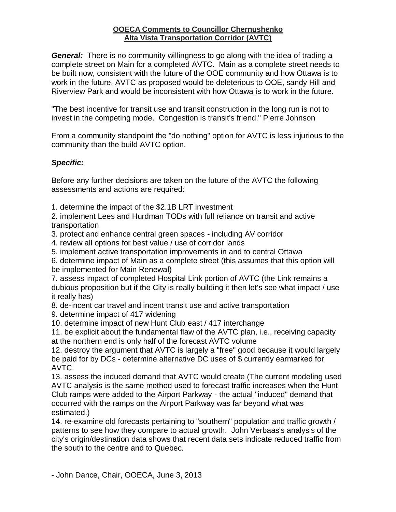# **OOECA Comments to Councillor Chernushenko Alta Vista Transportation Corridor (AVTC)**

*General:* There is no community willingness to go along with the idea of trading a complete street on Main for a completed AVTC. Main as a complete street needs to be built now, consistent with the future of the OOE community and how Ottawa is to work in the future. AVTC as proposed would be deleterious to OOE, sandy Hill and Riverview Park and would be inconsistent with how Ottawa is to work in the future.

"The best incentive for transit use and transit construction in the long run is not to invest in the competing mode. Congestion is transit's friend." Pierre Johnson

From a community standpoint the "do nothing" option for AVTC is less injurious to the community than the build AVTC option.

# *Specific:*

Before any further decisions are taken on the future of the AVTC the following assessments and actions are required:

1. determine the impact of the \$2.1B LRT investment

2. implement Lees and Hurdman TODs with full reliance on transit and active transportation

3. protect and enhance central green spaces - including AV corridor

4. review all options for best value / use of corridor lands

5. implement active transportation improvements in and to central Ottawa

6. determine impact of Main as a complete street (this assumes that this option will be implemented for Main Renewal)

7. assess impact of completed Hospital Link portion of AVTC (the Link remains a dubious proposition but if the City is really building it then let's see what impact / use it really has)

8. de-incent car travel and incent transit use and active transportation

9. determine impact of 417 widening

10. determine impact of new Hunt Club east / 417 interchange

11. be explicit about the fundamental flaw of the AVTC plan, i.e., receiving capacity at the northern end is only half of the forecast AVTC volume

12. destroy the argument that AVTC is largely a "free" good because it would largely be paid for by DCs - determine alternative DC uses of \$ currently earmarked for AVTC.

13. assess the induced demand that AVTC would create (The current modeling used AVTC analysis is the same method used to forecast traffic increases when the Hunt Club ramps were added to the Airport Parkway - the actual "induced" demand that occurred with the ramps on the Airport Parkway was far beyond what was estimated.)

14. re-examine old forecasts pertaining to "southern" population and traffic growth / patterns to see how they compare to actual growth. John Verbaas's analysis of the city's origin/destination data shows that recent data sets indicate reduced traffic from the south to the centre and to Quebec.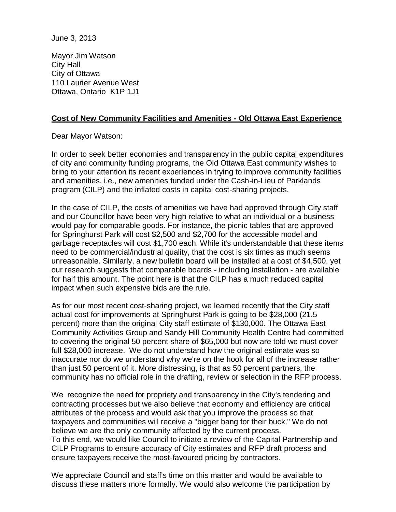Mayor Jim Watson City Hall City of Ottawa 110 Laurier Avenue West Ottawa, Ontario K1P 1J1

# **Cost of New Community Facilities and Amenities - Old Ottawa East Experience**

Dear Mayor Watson:

In order to seek better economies and transparency in the public capital expenditures of city and community funding programs, the Old Ottawa East community wishes to bring to your attention its recent experiences in trying to improve community facilities and amenities, i.e., new amenities funded under the Cash-in-Lieu of Parklands program (CILP) and the inflated costs in capital cost-sharing projects.

In the case of CILP, the costs of amenities we have had approved through City staff and our Councillor have been very high relative to what an individual or a business would pay for comparable goods. For instance, the picnic tables that are approved for Springhurst Park will cost \$2,500 and \$2,700 for the accessible model and garbage receptacles will cost \$1,700 each. While it's understandable that these items need to be commercial/industrial quality, that the cost is six times as much seems unreasonable. Similarly, a new bulletin board will be installed at a cost of \$4,500, yet our research suggests that comparable boards - including installation - are available for half this amount. The point here is that the CILP has a much reduced capital impact when such expensive bids are the rule.

As for our most recent cost-sharing project, we learned recently that the City staff actual cost for improvements at Springhurst Park is going to be \$28,000 (21.5 percent) more than the original City staff estimate of \$130,000. The Ottawa East Community Activities Group and Sandy Hill Community Health Centre had committed to covering the original 50 percent share of \$65,000 but now are told we must cover full \$28,000 increase. We do not understand how the original estimate was so inaccurate nor do we understand why we're on the hook for all of the increase rather than just 50 percent of it. More distressing, is that as 50 percent partners, the community has no official role in the drafting, review or selection in the RFP process.

We recognize the need for propriety and transparency in the City's tendering and contracting processes but we also believe that economy and efficiency are critical attributes of the process and would ask that you improve the process so that taxpayers and communities will receive a "bigger bang for their buck." We do not believe we are the only community affected by the current process. To this end, we would like Council to initiate a review of the Capital Partnership and CILP Programs to ensure accuracy of City estimates and RFP draft process and ensure taxpayers receive the most-favoured pricing by contractors.

We appreciate Council and staff's time on this matter and would be available to discuss these matters more formally. We would also welcome the participation by